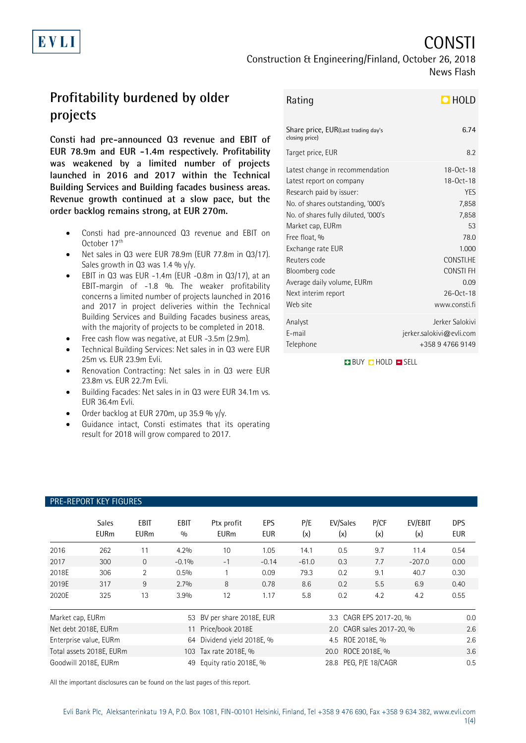# CONSTI

Construction & Engineering/Finland, October 26, 2018 News Flash

## **Profitability burdened by older projects**

EVLI

**Consti had pre-announced Q3 revenue and EBIT of EUR 78.9m and EUR -1.4m respectively. Profitability was weakened by a limited number of projects launched in 2016 and 2017 within the Technical Building Services and Building facades business areas. Revenue growth continued at a slow pace, but the order backlog remains strong, at EUR 270m.**

- Consti had pre-announced Q3 revenue and EBIT on October 17<sup>th</sup>
- Net sales in Q3 were EUR 78.9m (EUR 77.8m in Q3/17). Sales growth in  $Q3$  was 1.4 % y/y.
- EBIT in Q3 was EUR -1.4m (EUR -0.8m in Q3/17), at an EBIT-margin of -1.8 %. The weaker profitability concerns a limited number of projects launched in 2016 and 2017 in project deliveries within the Technical Building Services and Building Facades business areas, with the majority of projects to be completed in 2018.
- Free cash flow was negative, at EUR -3.5m (2.9m).
- Technical Building Services: Net sales in in Q3 were EUR 25m vs. EUR 23.9m Evli.
- Renovation Contracting: Net sales in in Q3 were EUR 23.8m vs. EUR 22.7m Evli.
- Building Facades: Net sales in in Q3 were EUR 34.1m vs. EUR 36.4m Evli.
- Order backlog at EUR 270m, up 35.9 % y/y.
- Guidance intact, Consti estimates that its operating result for 2018 will grow compared to 2017.

| Rating | $D$ HOLD |
|--------|----------|
|--------|----------|

| Share price, EUR(Last trading day's<br>closing price) | 6.74                     |
|-------------------------------------------------------|--------------------------|
| Target price, EUR                                     | 8.2                      |
| Latest change in recommendation                       | $18 - 0ct - 18$          |
| Latest report on company                              | $18 - 0ct - 18$          |
| Research paid by issuer:                              | <b>YFS</b>               |
| No. of shares outstanding, '000's                     | 7,858                    |
| No. of shares fully diluted, '000's                   | 7,858                    |
| Market cap, EURm                                      | 53                       |
| Free float, %                                         | 78.0                     |
| Exchange rate EUR                                     | 1.000                    |
| Reuters code                                          | CONSTI.HE                |
| Bloomberg code                                        | CONSTI FH                |
| Average daily volume, EURm                            | 0.09                     |
| Next interim report                                   | $26 - 0ct - 18$          |
| Web site                                              | www.consti.fi            |
| Analyst                                               | Jerker Salokivi          |
| E-mail                                                | jerker.salokivi@evli.com |
| Telephone                                             | +358 9 4766 9149         |

**BUY O HOLD O SELL** 

## PRE-REPORT KEY FIGURES

|                      | <b>Sales</b><br><b>EURm</b> | EBIT<br><b>EURm</b> | EBIT<br>0/0                | Ptx profit<br><b>EURm</b> | EPS<br><b>EUR</b>         | P/E<br>(x) | EV/Sales<br>(x)  | P/CF<br>(x) | EV/EBIT<br>(x) | <b>DPS</b><br>EUR |
|----------------------|-----------------------------|---------------------|----------------------------|---------------------------|---------------------------|------------|------------------|-------------|----------------|-------------------|
| 2016                 | 262                         |                     | 4.2%                       | 10                        | 1.05                      | 14.1       | 0.5              | 9.7         | 11.4           | 0.54              |
| 2017                 | 300                         | $\Omega$            | $-0.1%$                    | $-1$                      | $-0.14$                   | $-61.0$    | 0.3              | 7.7         | $-207.0$       | 0.00              |
| 2018E                | 306                         | 2                   | 0.5%                       |                           | 0.09                      | 79.3       | 0.2              | 9.1         | 40.7           | 0.30              |
| 2019E                | 317                         | 9                   | 2.7%                       | 8                         | 0.78                      | 8.6        | 0.2              | 5.5         | 6.9            | 0.40              |
| 2020E                | 325                         | 13                  | 3.9%                       | 12                        | 1.17                      | 5.8        | 0.2              | 4.2         | 4.2            | 0.55              |
| Market cap, EURm     |                             |                     | 53 BV per share 2018E, EUR |                           | 3.3 CAGR EPS 2017-20, %   |            |                  | 0.0         |                |                   |
| Net debt 2018E, EURm |                             | 11                  | Price/book 2018E           |                           | 2.0 CAGR sales 2017-20, % |            |                  | 2.6         |                |                   |
|                      | Enterprise value, EURm      |                     | 64                         | Dividend yield 2018E, %   |                           |            | 4.5 ROE 2018E, % |             |                | 2.6               |

Total assets 2018E, EURm 103 Tax rate 2018E, % 20.0 ROCE 2018E, % 3.6 Goodwill 2018E, EURm 49 Equity ratio 2018E, % 28.8 PEG, P/E 18/CAGR 0.5 0.5

All the important disclosures can be found on the last pages of this report.

1(4)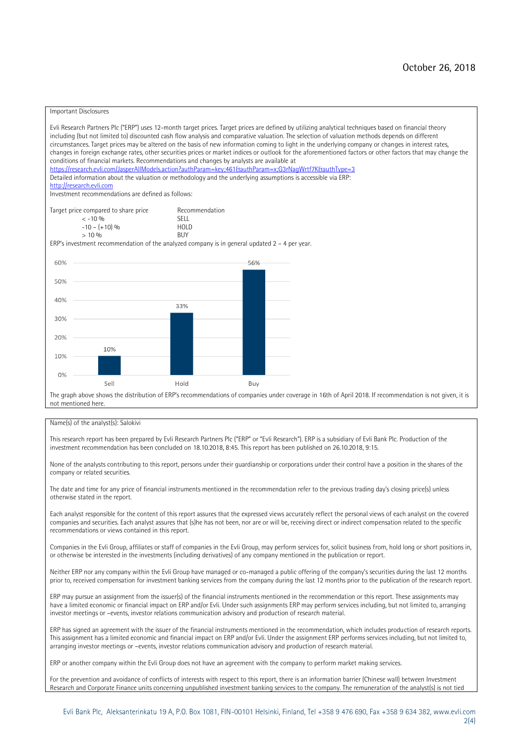#### Important Disclosures

Evli Research Partners Plc ("ERP") uses 12-month target prices. Target prices are defined by utilizing analytical techniques based on financial theory including (but not limited to) discounted cash flow analysis and comparative valuation. The selection of valuation methods depends on different circumstances. Target prices may be altered on the basis of new information coming to light in the underlying company or changes in interest rates, changes in foreign exchange rates, other securities prices or market indices or outlook for the aforementioned factors or other factors that may change the conditions of financial markets. Recommendations and changes by analysts are available at <https://research.evli.com/JasperAllModels.action?authParam=key;461&authParam=x;G3rNagWrtf7K&authType=3> Detailed information about the valuation or methodology and the underlying assumptions is accessible via ERP: [http://research.evli.com](http://research.evli.com/) Investment recommendations are defined as follows: Target price compared to share price Recommendation<br> $\leq 10\%$  $\langle 5, -10, 9 \rangle$  SELL<br> $-10, - (+10), 9 \rangle$  HOLD  $-10 - (+10) \%$  HOL<br>  $> 10 \%$  $> 10\%$ ERP's investment recommendation of the analyzed company is in general updated  $2 - 4$  per year. 60% 56% 50% 40% 33%  $30%$ 20% 10% 10%  $0%$ Sell Hold Buy The graph above shows the distribution of ERP's recommendations of companies under coverage in 16th of April 2018. If recommendation is not given, it is not mentioned here.

#### Name(s) of the analyst(s): Salokivi

This research report has been prepared by Evli Research Partners Plc ("ERP" or "Evli Research"). ERP is a subsidiary of Evli Bank Plc. Production of the investment recommendation has been concluded on 18.10.2018, 8:45. This report has been published on 26.10.2018, 9:15.

None of the analysts contributing to this report, persons under their guardianship or corporations under their control have a position in the shares of the company or related securities.

The date and time for any price of financial instruments mentioned in the recommendation refer to the previous trading day's closing price(s) unless otherwise stated in the report.

Each analyst responsible for the content of this report assures that the expressed views accurately reflect the personal views of each analyst on the covered companies and securities. Each analyst assures that (s)he has not been, nor are or will be, receiving direct or indirect compensation related to the specific recommendations or views contained in this report.

Companies in the Evli Group, affiliates or staff of companies in the Evli Group, may perform services for, solicit business from, hold long or short positions in, or otherwise be interested in the investments (including derivatives) of any company mentioned in the publication or report.

Neither ERP nor any company within the Evli Group have managed or co-managed a public offering of the company's securities during the last 12 months prior to, received compensation for investment banking services from the company during the last 12 months prior to the publication of the research report.

ERP may pursue an assignment from the issuer(s) of the financial instruments mentioned in the recommendation or this report. These assignments may have a limited economic or financial impact on ERP and/or Evli. Under such assignments ERP may perform services including, but not limited to, arranging investor meetings or –events, investor relations communication advisory and production of research material.

ERP has signed an agreement with the issuer of the financial instruments mentioned in the recommendation, which includes production of research reports. This assignment has a limited economic and financial impact on ERP and/or Evli. Under the assignment ERP performs services including, but not limited to, arranging investor meetings or –events, investor relations communication advisory and production of research material.

ERP or another company within the Evli Group does not have an agreement with the company to perform market making services.

For the prevention and avoidance of conflicts of interests with respect to this report, there is an information barrier (Chinese wall) between Investment Research and Corporate Finance units concerning unpublished investment banking services to the company. The remuneration of the analyst(s) is not tied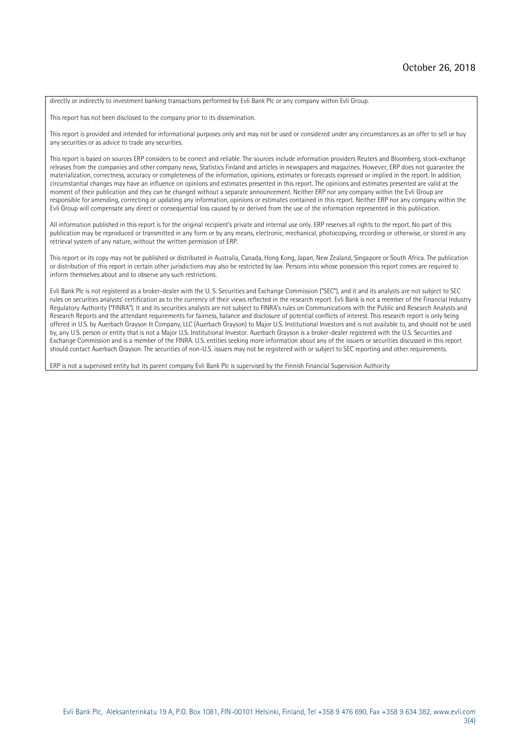directly or indirectly to investment banking transactions performed by Evli Bank Plc or any company within Evli Group.

This report has not been disclosed to the company prior to its dissemination.

This report is provided and intended for informational purposes only and may not be used or considered under any circumstances as an offer to sell or buy any securities or as advice to trade any securities.

This report is based on sources ERP considers to be correct and reliable. The sources include information providers Reuters and Bloomberg, stock-exchange releases from the companies and other company news, Statistics Finland and articles in newspapers and magazines. However, ERP does not guarantee the materialization, correctness, accuracy or completeness of the information, opinions, estimates or forecasts expressed or implied in the report. In addition, circumstantial changes may have an influence on opinions and estimates presented in this report. The opinions and estimates presented are valid at the moment of their publication and they can be changed without a separate announcement. Neither ERP nor any company within the Evli Group are responsible for amending, correcting or updating any information, opinions or estimates contained in this report. Neither ERP nor any company within the Evli Group will compensate any direct or consequential loss caused by or derived from the use of the information represented in this publication.

All information published in this report is for the original recipient's private and internal use only. ERP reserves all rights to the report. No part of this publication may be reproduced or transmitted in any form or by any means, electronic, mechanical, photocopying, recording or otherwise, or stored in any retrieval system of any nature, without the written permission of ERP.

This report or its copy may not be published or distributed in Australia, Canada, Hong Kong, Japan, New Zealand, Singapore or South Africa. The publication or distribution of this report in certain other jurisdictions may also be restricted by law. Persons into whose possession this report comes are required to inform themselves about and to observe any such restrictions.

Evli Bank Plc is not registered as a broker-dealer with the U. S. Securities and Exchange Commission ("SEC"), and it and its analysts are not subject to SEC rules on securities analysts' certification as to the currency of their views reflected in the research report. Evli Bank is not a member of the Financial Industry Regulatory Authority ("FINRA"). It and its securities analysts are not subject to FINRA's rules on Communications with the Public and Research Analysts and Research Reports and the attendant requirements for fairness, balance and disclosure of potential conflicts of interest. This research report is only being offered in U.S. by Auerbach Grayson & Company, LLC (Auerbach Grayson) to Major U.S. Institutional Investors and is not available to, and should not be used by, any U.S. person or entity that is not a Major U.S. Institutional Investor. Auerbach Grayson is a broker-dealer registered with the U.S. Securities and Exchange Commission and is a member of the FINRA. U.S. entities seeking more information about any of the issuers or securities discussed in this report should contact Auerbach Grayson. The securities of non-U.S. issuers may not be registered with or subject to SEC reporting and other requirements.

ERP is not a supervised entity but its parent company Evli Bank Plc is supervised by the Finnish Financial Supervision Authority